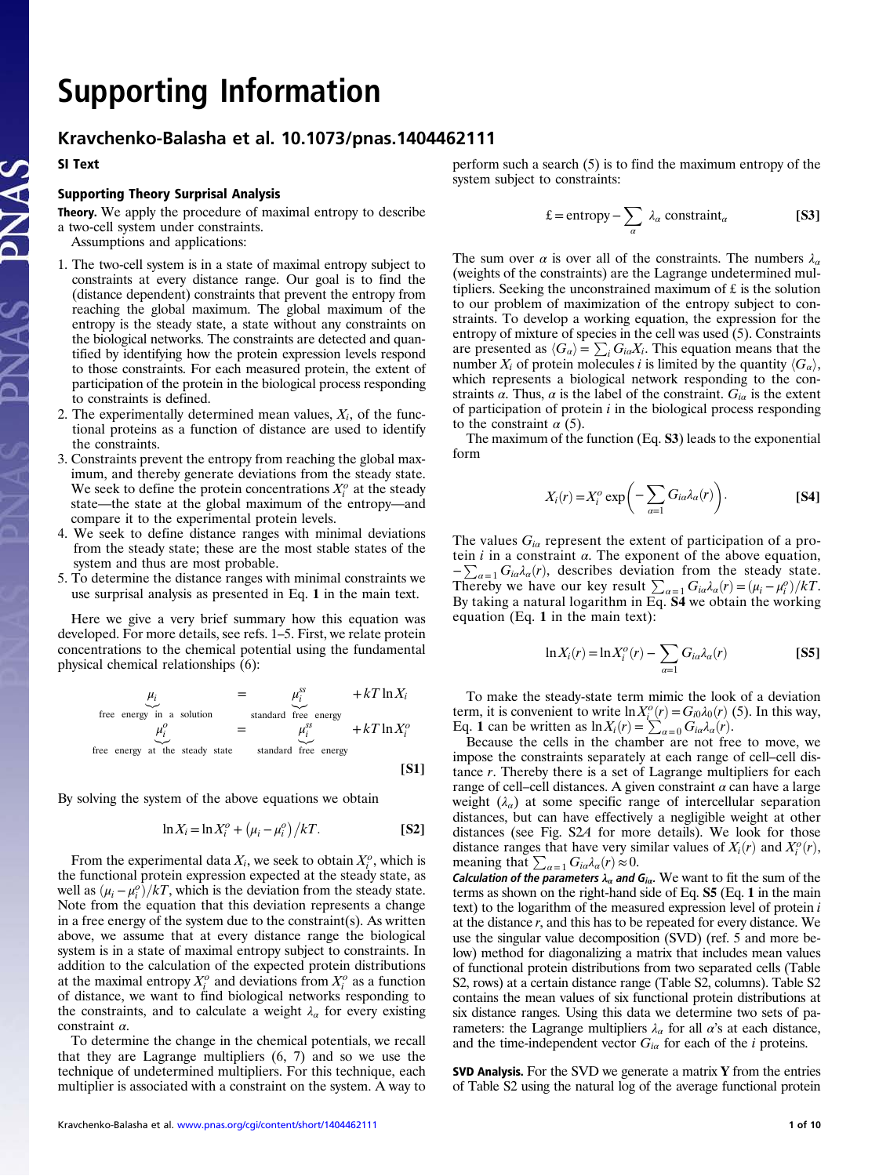# Supporting Information

## Kravchenko-Balasha et al. 10.1073/pnas.1404462111

SI Text

#### Supporting Theory Surprisal Analysis

Theory. We apply the procedure of maximal entropy to describe

- a two-cell system under constraints. Assumptions and applications:
- 1. The two-cell system is in a state of maximal entropy subject to constraints at every distance range. Our goal is to find the (distance dependent) constraints that prevent the entropy from reaching the global maximum. The global maximum of the entropy is the steady state, a state without any constraints on the biological networks. The constraints are detected and quantified by identifying how the protein expression levels respond to those constraints. For each measured protein, the extent of
- to constraints is defined. 2. The experimentally determined mean values,  $X_i$ , of the functional proteins as a function of distance are used to identify the constraints.

participation of the protein in the biological process responding

- 3. Constraints prevent the entropy from reaching the global maximum, and thereby generate deviations from the steady state. We seek to define the protein concentrations  $X_i^o$  at the steady state—the state at the global maximum of the entropy—and compare it to the experimental protein levels.
- 4. We seek to define distance ranges with minimal deviations from the steady state; these are the most stable states of the system and thus are most probable.
- 5. To determine the distance ranges with minimal constraints we use surprisal analysis as presented in Eq. 1 in the main text.

Here we give a very brief summary how this equation was developed. For more details, see refs. 1–5. First, we relate protein concentrations to the chemical potential using the fundamental physical chemical relationships (6):

$$
\mu_i = \mu_i^{ss} + kT \ln X_i
$$
  
free energy in a solution  

$$
\mu_i^o = \mu_i^{ss} + kT \ln X_i^o
$$
  
free energy at the steady state standard free energy  
[S1]

By solving the system of the above equations we obtain

$$
\ln X_i = \ln X_i^o + \left(\mu_i - \mu_i^o\right) / kT.
$$
 [S2]

From the experimental data  $X_i$ , we seek to obtain  $X_i^o$ , which is the functional protein expression expected at the steady state, as well as  $(\mu_i - \mu_i^o)/kT$ , which is the deviation from the steady state. Note from the equation that this deviation represents a change in a free energy of the system due to the constraint(s). As written above, we assume that at every distance range the biological system is in a state of maximal entropy subject to constraints. In addition to the calculation of the expected protein distributions at the maximal entropy  $X_i^o$  and deviations from  $X_i^o$  as a function of distance, we want to find biological networks responding to the constraints, and to calculate a weight  $\lambda_{\alpha}$  for every existing constraint  $\alpha$ .

To determine the change in the chemical potentials, we recall that they are Lagrange multipliers (6, 7) and so we use the technique of undetermined multipliers. For this technique, each multiplier is associated with a constraint on the system. A way to

$$
\pounds = \text{entropy} - \sum_{\alpha} \lambda_{\alpha} \text{ constraint}_{\alpha} \qquad \qquad \textbf{[S3]}
$$

The sum over  $\alpha$  is over all of the constraints. The numbers  $\lambda_{\alpha}$ (weights of the constraints) are the Lagrange undetermined multipliers. Seeking the unconstrained maximum of £ is the solution to our problem of maximization of the entropy subject to constraints. To develop a working equation, the expression for the entropy of mixture of species in the cell was used (5). Constraints are presented as  $\langle G_{\alpha} \rangle = \sum_{i} G_{i\alpha} X_i$ . This equation means that the number  $X_i$  of protein molecules i is limited by the quantity  $\langle G_\alpha \rangle$ , which represents a biological network responding to the constraints  $\alpha$ . Thus,  $\alpha$  is the label of the constraint.  $G_{i\alpha}$  is the extent of participation of protein  $i$  in the biological process responding to the constraint  $\alpha$  (5).

The maximum of the function (Eq. S3) leads to the exponential form

$$
X_i(r) = X_i^o \exp\bigg(-\sum_{\alpha=1} G_{i\alpha} \lambda_\alpha(r)\bigg). \qquad \qquad \textbf{[S4]}
$$

The values  $G_{i\alpha}$  represent the extent of participation of a protein  $i$  in a constraint  $\alpha$ . The exponent of the above equation,  $-\sum_{\alpha=1} G_{i\alpha}\lambda_{\alpha}(r)$ , describes deviation from the steady state. Thereby we have our key result  $\sum_{\alpha=1} G_{i\alpha} \lambda_{\alpha}(r) = (\mu_i - \mu_i^o)/kT$ .<br>By taking a natural logarithm in Eq. **S4** we obtain the working equation (Eq. 1 in the main text):

$$
\ln X_i(r) = \ln X_i^o(r) - \sum_{\alpha=1} G_{i\alpha} \lambda_\alpha(r)
$$
 [S5]

To make the steady-state term mimic the look of a deviation term, it is convenient to write  $\ln X_i^o(r) = G_{i0} \lambda_0(r)$  (5). In this way, Eq. 1 can be written as  $\ln X_i(r) = \sum_{\alpha=0} G_{i\alpha} \lambda_{\alpha}(r)$ .

Because the cells in the chamber are not free to move, we impose the constraints separately at each range of cell–cell distance r. Thereby there is a set of Lagrange multipliers for each range of cell–cell distances. A given constraint  $\alpha$  can have a large weight  $(\lambda_{\alpha})$  at some specific range of intercellular separation distances, but can have effectively a negligible weight at other distances (see Fig. S2A for more details). We look for those distance ranges that have very similar values of  $X_i(r)$  and  $X_i^o(r)$ , meaning that  $\sum_{\alpha=1} G_{i\alpha} \lambda_{\alpha}(r) \approx 0$ .

Calculation of the parameters  $\lambda_{\alpha}$  and  $G_{i\alpha}$ . We want to fit the sum of the terms as shown on the right-hand side of Eq. S5 (Eq. 1 in the main text) to the logarithm of the measured expression level of protein i at the distance  $r$ , and this has to be repeated for every distance. We use the singular value decomposition (SVD) (ref. 5 and more below) method for diagonalizing a matrix that includes mean values of functional protein distributions from two separated cells (Table S2, rows) at a certain distance range (Table S2, columns). Table S2 contains the mean values of six functional protein distributions at six distance ranges. Using this data we determine two sets of parameters: the Lagrange multipliers  $\lambda_{\alpha}$  for all  $\alpha$ 's at each distance, and the time-independent vector  $G_{i\alpha}$  for each of the *i* proteins.

SVD Analysis. For the SVD we generate a matrix Y from the entries of Table S2 using the natural log of the average functional protein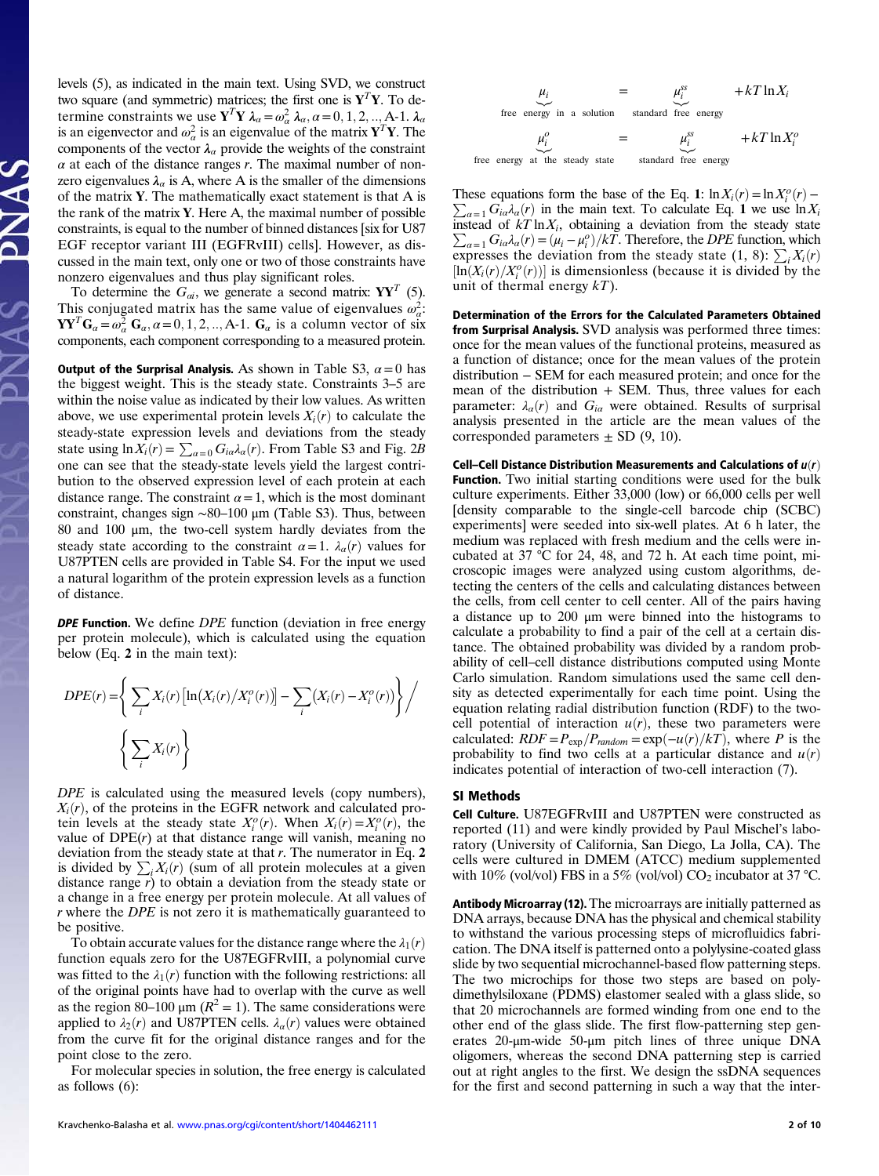levels (5), as indicated in the main text. Using SVD, we construct two square (and symmetric) matrices; the first one is  $Y^T Y$ . To determine constraints we use  $Y^T Y \lambda_\alpha = \omega_\alpha^2 \lambda_\alpha, \alpha = 0, 1, 2, ..., A-1$ .  $\lambda_\alpha$ is an eigenvector and  $\omega_{\alpha}^2$  is an eigenvalue of the matrix  ${\bf Y}^T{\bf Y}$ . The components of the vector  $\lambda_{\alpha}$  provide the weights of the constraint  $\alpha$  at each of the distance ranges r. The maximal number of nonzero eigenvalues  $\lambda_{\alpha}$  is A, where A is the smaller of the dimensions of the matrix Y. The mathematically exact statement is that A is the rank of the matrix  $Y$ . Here A, the maximal number of possible constraints, is equal to the number of binned distances [six for U87 EGF receptor variant III (EGFRvIII) cells]. However, as discussed in the main text, only one or two of those constraints have nonzero eigenvalues and thus play significant roles.

To determine the  $G_{\alpha i}$ , we generate a second matrix:  $YY^T$  (5). This conjugated matrix has the same value of eigenvalues  $\omega_a^2$ .  $\mathbf{YY}^T\mathbf{G}_\alpha = \omega_\alpha^2 \mathbf{G}_\alpha, \alpha = 0, 1, 2, ..., A-1$ .  $\mathbf{G}_\alpha$  is a column vector of six components, each component corresponding to a measured protein.

Output of the Surprisal Analysis. As shown in Table S3,  $\alpha = 0$  has the biggest weight. This is the steady state. Constraints 3–5 are within the noise value as indicated by their low values. As written above, we use experimental protein levels  $X_i(r)$  to calculate the steady-state expression levels and deviations from the steady state using  $\ln X_i(r) = \sum_{\alpha=0} G_{i\alpha} \lambda_\alpha(r)$ . From Table S3 and Fig. 2B one can see that the steady-state levels yield the largest contribution to the observed expression level of each protein at each distance range. The constraint  $\alpha = 1$ , which is the most dominant constraint, changes sign ∼80–100 μm (Table S3). Thus, between 80 and 100 μm, the two-cell system hardly deviates from the steady state according to the constraint  $\alpha = 1$ .  $\lambda_{\alpha}(r)$  values for U87PTEN cells are provided in Table S4. For the input we used a natural logarithm of the protein expression levels as a function of distance.

**DPE Function.** We define *DPE* function (deviation in free energy per protein molecule), which is calculated using the equation below (Eq. 2 in the main text):

$$
DPE(r) = \left\{ \sum_{i} X_i(r) \left[ \ln(X_i(r)/X_i^o(r)) \right] - \sum_{i} (X_i(r) - X_i^o(r)) \right\} / \left\{ \sum_{i} X_i(r) \right\}
$$

DPE is calculated using the measured levels (copy numbers),  $X_i(r)$ , of the proteins in the EGFR network and calculated protein levels at the steady state  $X_i^o(r)$ . When  $X_i(r) = X_i^o(r)$ , the value of  $DPE(r)$  at that distance range will vanish, meaning no deviation from the steady state at that  $r$ . The numerator in Eq. 2 is divided by  $\sum_i X_i(r)$  (sum of all protein molecules at a given distance range  $r$ ) to obtain a deviation from the steady state or a change in a free energy per protein molecule. At all values of r where the DPE is not zero it is mathematically guaranteed to be positive.

To obtain accurate values for the distance range where the  $\lambda_1(r)$ function equals zero for the U87EGFRvIII, a polynomial curve was fitted to the  $\lambda_1(r)$  function with the following restrictions: all of the original points have had to overlap with the curve as well as the region 80–100  $\mu$ m ( $R^2 = 1$ ). The same considerations were applied to  $\lambda_2(r)$  and U87PTEN cells.  $\lambda_\alpha(r)$  values were obtained from the curve fit for the original distance ranges and for the point close to the zero.

For molecular species in solution, the free energy is calculated as follows (6):

$$
\mu_i = \mu_i^s + kT \ln X_i
$$
  
free energy in a solution standard free energy

$$
\mu_i^o = \mu_i^{ss} + kT \ln X_i^o
$$
  
free energy at the steady state standard free energy

These equations form the base of the Eq. 1:  $\ln X_i(r) = \ln X_i^o(r) -$ First equations form the base of the Eq. 1.  $\lim_{t \to t_1} (t) = \lim_{t \to t_1} (t) = \sum_{\alpha=1}^{\infty} G_{i\alpha} \lambda_{\alpha}(t)$  in the main text. To calculate Eq. 1 we use  $\ln X_i$ instead of  $kT \ln X_i$  $\sum$ , obtaining a deviation from the steady state  $a_{\alpha=1} G_{i\alpha} \lambda_{\alpha}(r) = (\mu_i - \mu_i^{\circ})/kT$ . Therefore, the *DPE* function, which expresses the deviation from the steady state  $(1, 8)$ :  $\sum_i X_i(r)$  $[\ln(X_i(r)/X_i^o(r))]$  is dimensionless (because it is divided by the unit of thermal energy  $kT$ ).

Determination of the Errors for the Calculated Parameters Obtained from Surprisal Analysis. SVD analysis was performed three times: once for the mean values of the functional proteins, measured as a function of distance; once for the mean values of the protein distribution − SEM for each measured protein; and once for the mean of the distribution  $+$  SEM. Thus, three values for each parameter:  $\lambda_{\alpha}(r)$  and  $G_{i\alpha}$  were obtained. Results of surprisal analysis presented in the article are the mean values of the corresponded parameters  $\pm$  SD (9, 10).

Cell–Cell Distance Distribution Measurements and Calculations of  $u(r)$ Function. Two initial starting conditions were used for the bulk culture experiments. Either 33,000 (low) or 66,000 cells per well [density comparable to the single-cell barcode chip (SCBC) experiments] were seeded into six-well plates. At 6 h later, the medium was replaced with fresh medium and the cells were incubated at 37 °C for 24, 48, and 72 h. At each time point, microscopic images were analyzed using custom algorithms, detecting the centers of the cells and calculating distances between the cells, from cell center to cell center. All of the pairs having a distance up to 200 μm were binned into the histograms to calculate a probability to find a pair of the cell at a certain distance. The obtained probability was divided by a random probability of cell–cell distance distributions computed using Monte Carlo simulation. Random simulations used the same cell density as detected experimentally for each time point. Using the equation relating radial distribution function (RDF) to the twocell potential of interaction  $u(r)$ , these two parameters were calculated:  $RDF = P_{\text{exp}}/P_{\text{random}} = \text{exp}(-u(r)/kT)$ , where P is the probability to find two cells at a particular distance and  $u(r)$ indicates potential of interaction of two-cell interaction (7).

#### SI Methods

Cell Culture. U87EGFRvIII and U87PTEN were constructed as reported (11) and were kindly provided by Paul Mischel's laboratory (University of California, San Diego, La Jolla, CA). The cells were cultured in DMEM (ATCC) medium supplemented with 10% (vol/vol) FBS in a 5% (vol/vol)  $CO_2$  incubator at 37 °C.

Antibody Microarray (12). The microarrays are initially patterned as DNA arrays, because DNA has the physical and chemical stability to withstand the various processing steps of microfluidics fabrication. The DNA itself is patterned onto a polylysine-coated glass slide by two sequential microchannel-based flow patterning steps. The two microchips for those two steps are based on polydimethylsiloxane (PDMS) elastomer sealed with a glass slide, so that 20 microchannels are formed winding from one end to the other end of the glass slide. The first flow-patterning step generates 20-μm-wide 50-μm pitch lines of three unique DNA oligomers, whereas the second DNA patterning step is carried out at right angles to the first. We design the ssDNA sequences for the first and second patterning in such a way that the inter-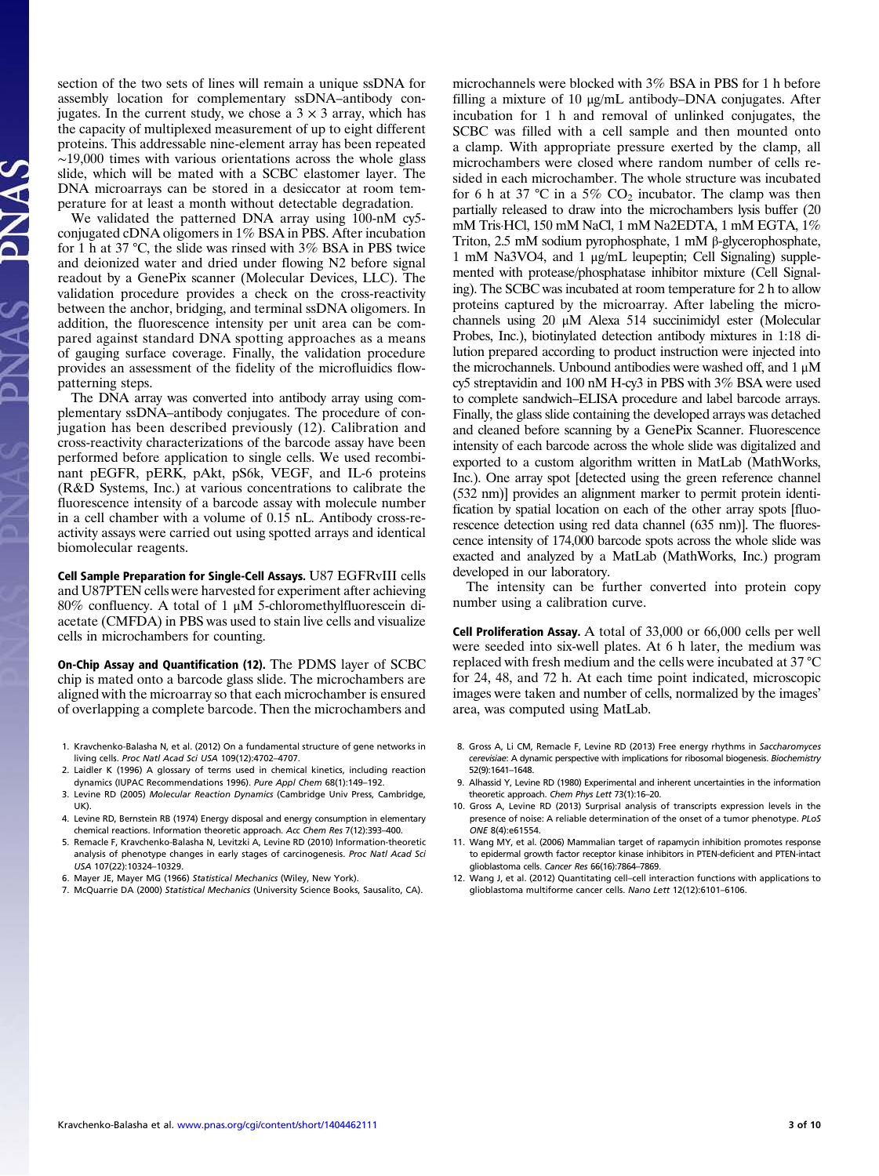section of the two sets of lines will remain a unique ssDNA for assembly location for complementary ssDNA–antibody conjugates. In the current study, we chose a  $3 \times 3$  array, which has the capacity of multiplexed measurement of up to eight different proteins. This addressable nine-element array has been repeated  $~19,000$  times with various orientations across the whole glass slide, which will be mated with a SCBC elastomer layer. The DNA microarrays can be stored in a desiccator at room temperature for at least a month without detectable degradation.

We validated the patterned DNA array using 100-nM cy5 conjugated cDNA oligomers in 1% BSA in PBS. After incubation for 1 h at 37 °C, the slide was rinsed with 3% BSA in PBS twice and deionized water and dried under flowing N2 before signal readout by a GenePix scanner (Molecular Devices, LLC). The validation procedure provides a check on the cross-reactivity between the anchor, bridging, and terminal ssDNA oligomers. In addition, the fluorescence intensity per unit area can be compared against standard DNA spotting approaches as a means of gauging surface coverage. Finally, the validation procedure provides an assessment of the fidelity of the microfluidics flowpatterning steps.

The DNA array was converted into antibody array using complementary ssDNA–antibody conjugates. The procedure of conjugation has been described previously (12). Calibration and cross-reactivity characterizations of the barcode assay have been performed before application to single cells. We used recombinant pEGFR, pERK, pAkt, pS6k, VEGF, and IL-6 proteins (R&D Systems, Inc.) at various concentrations to calibrate the fluorescence intensity of a barcode assay with molecule number in a cell chamber with a volume of 0.15 nL. Antibody cross-reactivity assays were carried out using spotted arrays and identical biomolecular reagents.

Cell Sample Preparation for Single-Cell Assays. U87 EGFRvIII cells and U87PTEN cells were harvested for experiment after achieving 80% confluency. A total of 1 μM 5-chloromethylfluorescein diacetate (CMFDA) in PBS was used to stain live cells and visualize cells in microchambers for counting.

On-Chip Assay and Quantification (12). The PDMS layer of SCBC chip is mated onto a barcode glass slide. The microchambers are aligned with the microarray so that each microchamber is ensured of overlapping a complete barcode. Then the microchambers and

- 1. Kravchenko-Balasha N, et al. (2012) On a fundamental structure of gene networks in living cells. Proc Natl Acad Sci USA 109(12):4702–4707.
- 2. Laidler K (1996) A glossary of terms used in chemical kinetics, including reaction dynamics (IUPAC Recommendations 1996). Pure Appl Chem 68(1):149–192.
- 3. Levine RD (2005) Molecular Reaction Dynamics (Cambridge Univ Press, Cambridge, UK).
- 4. Levine RD, Bernstein RB (1974) Energy disposal and energy consumption in elementary chemical reactions. Information theoretic approach. Acc Chem Res 7(12):393–400.
- 5. Remacle F, Kravchenko-Balasha N, Levitzki A, Levine RD (2010) Information-theoretic analysis of phenotype changes in early stages of carcinogenesis. Proc Natl Acad Sci USA 107(22):10324–10329.
- 6. Mayer JE, Mayer MG (1966) Statistical Mechanics (Wiley, New York).
- 7. McQuarrie DA (2000) Statistical Mechanics (University Science Books, Sausalito, CA).

microchannels were blocked with 3% BSA in PBS for 1 h before filling a mixture of 10 μg/mL antibody–DNA conjugates. After incubation for 1 h and removal of unlinked conjugates, the SCBC was filled with a cell sample and then mounted onto a clamp. With appropriate pressure exerted by the clamp, all microchambers were closed where random number of cells resided in each microchamber. The whole structure was incubated for 6 h at 37 °C in a 5%  $CO<sub>2</sub>$  incubator. The clamp was then partially released to draw into the microchambers lysis buffer (20 mM Tris·HCl, 150 mM NaCl, 1 mM Na2EDTA, 1 mM EGTA, 1% Triton, 2.5 mM sodium pyrophosphate, 1 mM β-glycerophosphate, 1 mM Na3VO4, and 1 μg/mL leupeptin; Cell Signaling) supplemented with protease/phosphatase inhibitor mixture (Cell Signaling). The SCBC was incubated at room temperature for 2 h to allow proteins captured by the microarray. After labeling the microchannels using 20 μM Alexa 514 succinimidyl ester (Molecular Probes, Inc.), biotinylated detection antibody mixtures in 1:18 dilution prepared according to product instruction were injected into the microchannels. Unbound antibodies were washed off, and  $1 \mu$ M cy5 streptavidin and 100 nM H-cy3 in PBS with 3% BSA were used to complete sandwich–ELISA procedure and label barcode arrays. Finally, the glass slide containing the developed arrays was detached and cleaned before scanning by a GenePix Scanner. Fluorescence intensity of each barcode across the whole slide was digitalized and exported to a custom algorithm written in MatLab (MathWorks, Inc.). One array spot [detected using the green reference channel (532 nm)] provides an alignment marker to permit protein identification by spatial location on each of the other array spots [fluorescence detection using red data channel (635 nm)]. The fluorescence intensity of 174,000 barcode spots across the whole slide was exacted and analyzed by a MatLab (MathWorks, Inc.) program developed in our laboratory.

The intensity can be further converted into protein copy number using a calibration curve.

Cell Proliferation Assay. A total of 33,000 or 66,000 cells per well were seeded into six-well plates. At 6 h later, the medium was replaced with fresh medium and the cells were incubated at 37 °C for 24, 48, and 72 h. At each time point indicated, microscopic images were taken and number of cells, normalized by the images' area, was computed using MatLab.

- 8. Gross A, Li CM, Remacle F, Levine RD (2013) Free energy rhythms in Saccharomyces cerevisiae: A dynamic perspective with implications for ribosomal biogenesis. Biochemistry 52(9):1641–1648.
- 9. Alhassid Y, Levine RD (1980) Experimental and inherent uncertainties in the information theoretic approach. Chem Phys Lett 73(1):16–20.
- 10. Gross A, Levine RD (2013) Surprisal analysis of transcripts expression levels in the presence of noise: A reliable determination of the onset of a tumor phenotype. PLoS ONE 8(4):e61554.
- 11. Wang MY, et al. (2006) Mammalian target of rapamycin inhibition promotes response to epidermal growth factor receptor kinase inhibitors in PTEN-deficient and PTEN-intact glioblastoma cells. Cancer Res 66(16):7864–7869.
- 12. Wang J, et al. (2012) Quantitating cell–cell interaction functions with applications to glioblastoma multiforme cancer cells. Nano Lett 12(12):6101–6106.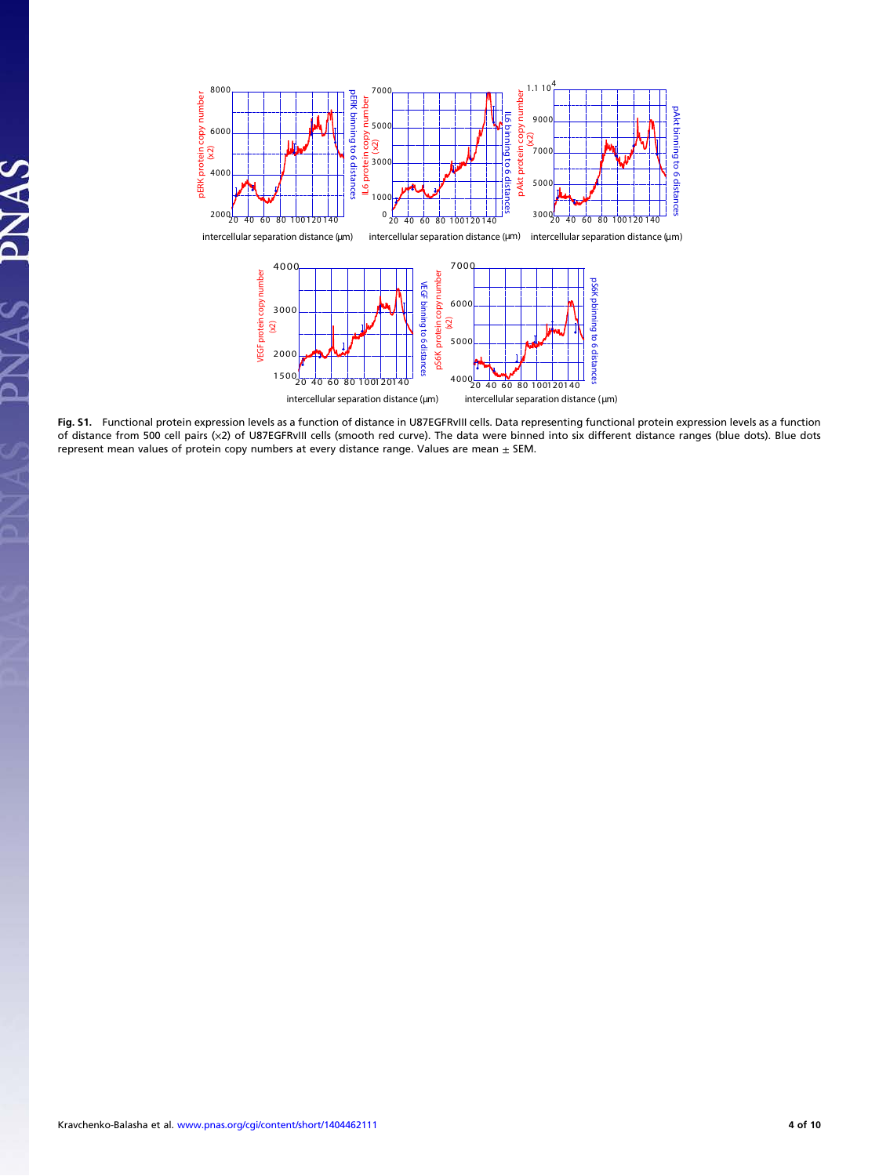

Fig. S1. Functional protein expression levels as a function of distance in U87EGFRvIII cells. Data representing functional protein expression levels as a function of distance from 500 cell pairs (×2) of U87EGFRvIII cells (smooth red curve). The data were binned into six different distance ranges (blue dots). Blue dots represent mean values of protein copy numbers at every distance range. Values are mean  $\pm$  SEM.

PNAS

 $\tilde{\mathbf{A}}$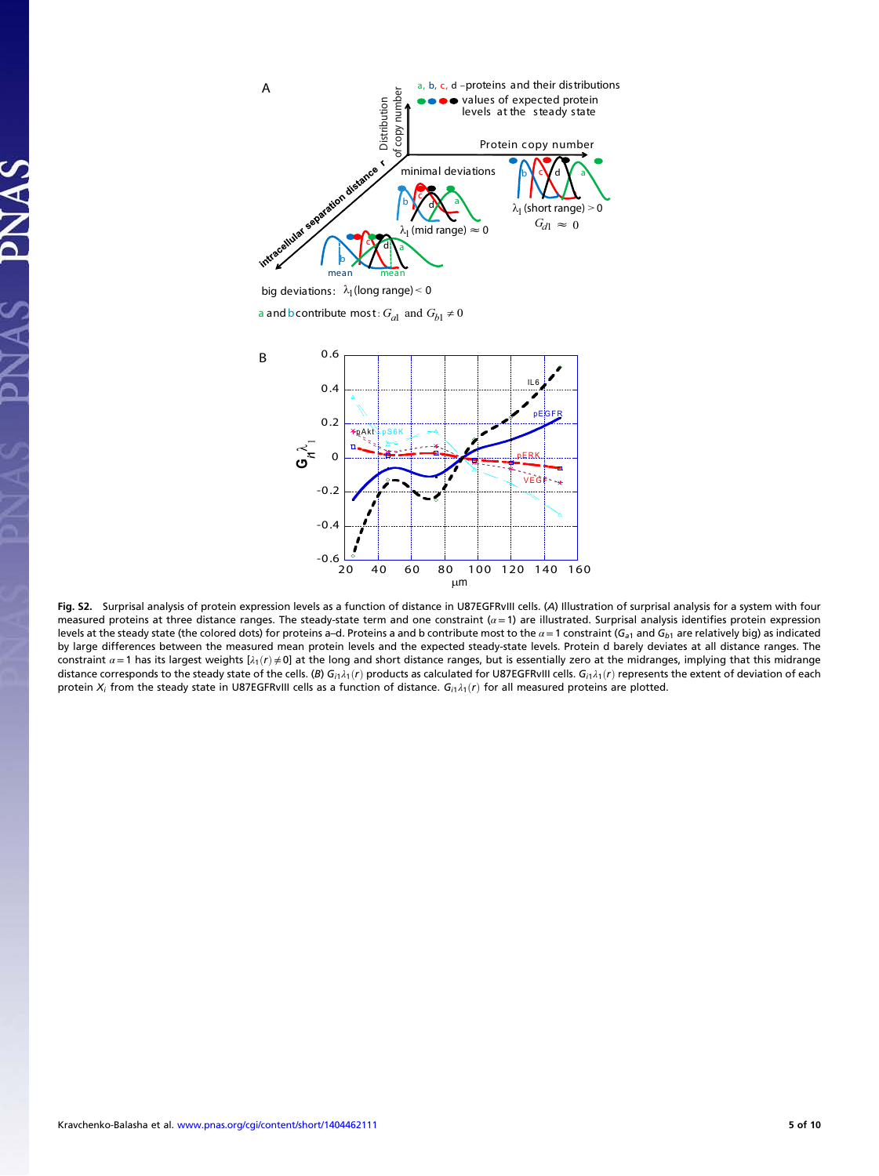

big deviations:  $\lambda_1$ (long range)  $<$  0

a and b contribute most:  $G_{a1}$  and  $G_{b1} \neq 0$ 



Fig. S2. Surprisal analysis of protein expression levels as a function of distance in U87EGFRvIII cells. (A) Illustration of surprisal analysis for a system with four measured proteins at three distance ranges. The steady-state term and one constraint ( $\alpha$  = 1) are illustrated. Surprisal analysis identifies protein expression levels at the steady state (the colored dots) for proteins a–d. Proteins a and b contribute most to the  $\alpha$  = 1 constraint (G<sub>a1</sub> and G<sub>b1</sub> are relatively big) as indicated by large differences between the measured mean protein levels and the expected steady-state levels. Protein d barely deviates at all distance ranges. The constraint  $\alpha = 1$  has its largest weights [ $\lambda_1(r) \neq 0$ ] at the long and short distance ranges, but is essentially zero at the midranges, implying that this midrange distance corresponds to the steady state of the cells. (B)  $G_{i1}\lambda_1(r)$  products as calculated for U87EGFRvIII cells.  $G_{i1}\lambda_1(r)$  represents the extent of deviation of each protein  $X_i$  from the steady state in U87EGFRvIII cells as a function of distance.  $G_{i1}\lambda_1(r)$  for all measured proteins are plotted.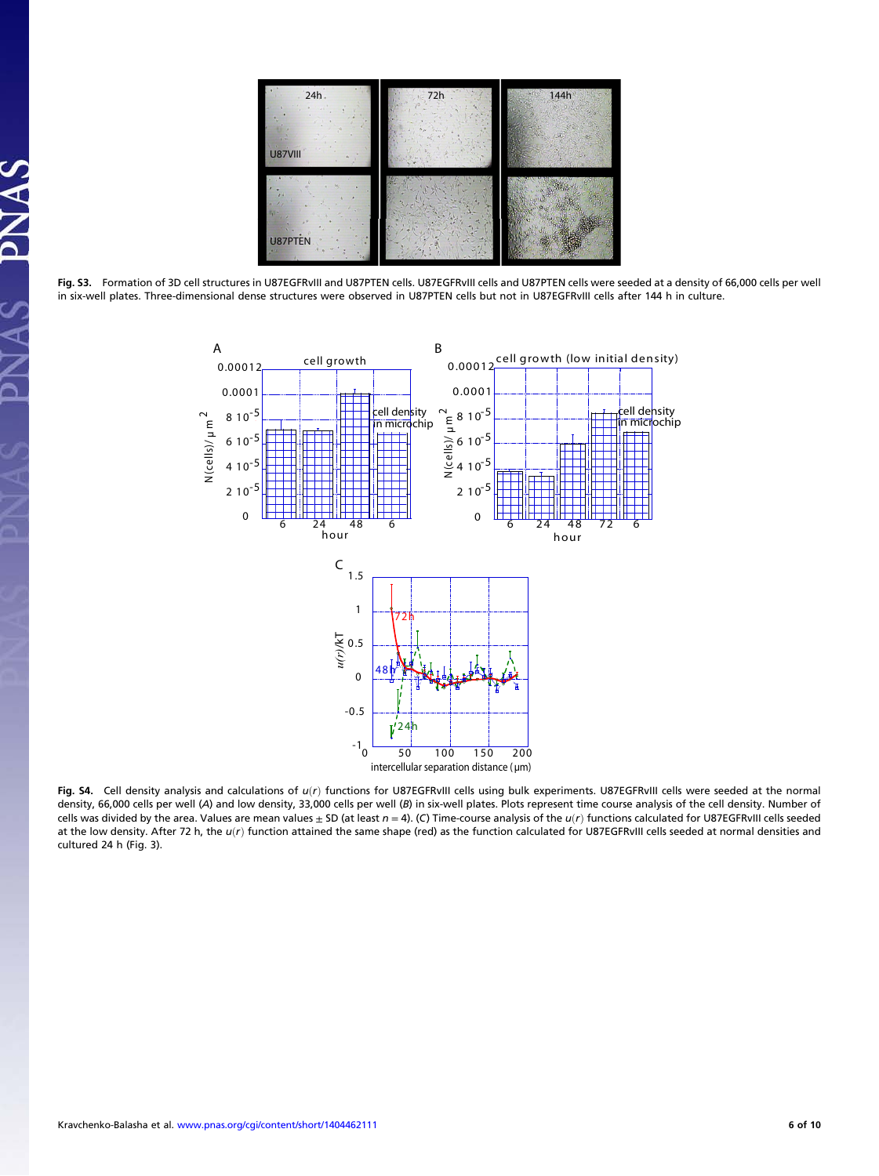

Fig. S3. Formation of 3D cell structures in U87EGFRvIII and U87PTEN cells. U87EGFRvIII cells and U87PTEN cells were seeded at a density of 66,000 cells per well in six-well plates. Three-dimensional dense structures were observed in U87PTEN cells but not in U87EGFRvIII cells after 144 h in culture.



Fig. S4. Cell density analysis and calculations of  $u(r)$  functions for U87EGFRvIII cells using bulk experiments. U87EGFRvIII cells were seeded at the normal density, 66,000 cells per well (A) and low density, 33,000 cells per well (B) in six-well plates. Plots represent time course analysis of the cell density. Number of cells was divided by the area. Values are mean values  $\pm$  SD (at least  $n = 4$ ). (C) Time-course analysis of the  $u(r)$  functions calculated for U87EGFRvIII cells seeded at the low density. After 72 h, the  $u(r)$  function attained the same shape (red) as the function calculated for U87EGFRvIII cells seeded at normal densities and cultured 24 h (Fig. 3).

PNAS

 $\tilde{\mathbf{A}}$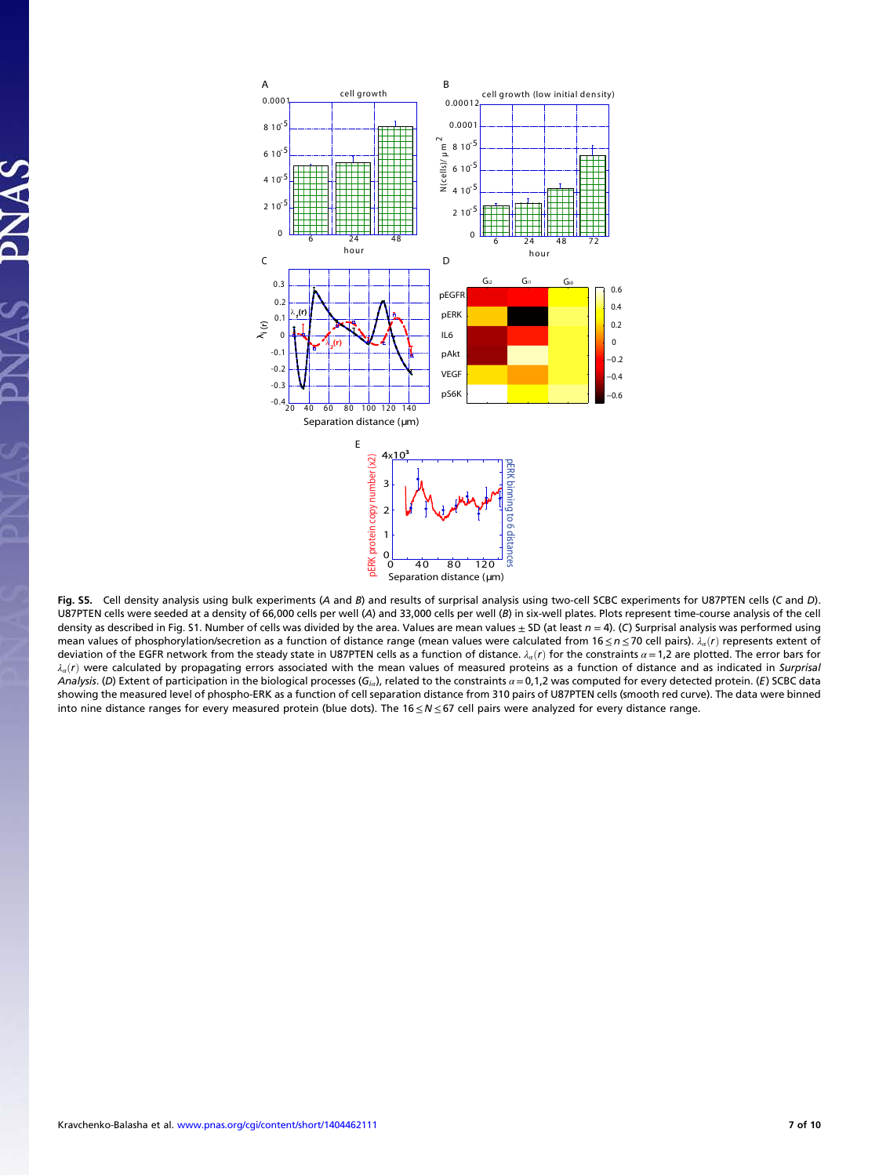

Fig. S5. Cell density analysis using bulk experiments (A and B) and results of surprisal analysis using two-cell SCBC experiments for U87PTEN cells (C and D). U87PTEN cells were seeded at a density of 66,000 cells per well (A) and 33,000 cells per well (B) in six-well plates. Plots represent time-course analysis of the cell density as described in Fig. S1. Number of cells was divided by the area. Values are mean values  $\pm$  SD (at least  $n = 4$ ). (C) Surprisal analysis was performed using mean values of phosphorylation/secretion as a function of distance range (mean values were calculated from 16 ≤n ≤70 cell pairs).  $\lambda_a(r)$  represents extent of deviation of the EGFR network from the steady state in U87PTEN cells as a function of distance.  $\lambda_a(r)$  for the constraints  $\alpha = 1,2$  are plotted. The error bars for  $\lambda_a(r)$  were calculated by propagating errors associated with the mean values of measured proteins as a function of distance and as indicated in Surprisal Analysis. (D) Extent of participation in the biological processes (G<sub>ia</sub>), related to the constraints  $\alpha$  = 0,1,2 was computed for every detected protein. (E) SCBC data showing the measured level of phospho-ERK as a function of cell separation distance from 310 pairs of U87PTEN cells (smooth red curve). The data were binned into nine distance ranges for every measured protein (blue dots). The 16≤ N ≤67 cell pairs were analyzed for every distance range.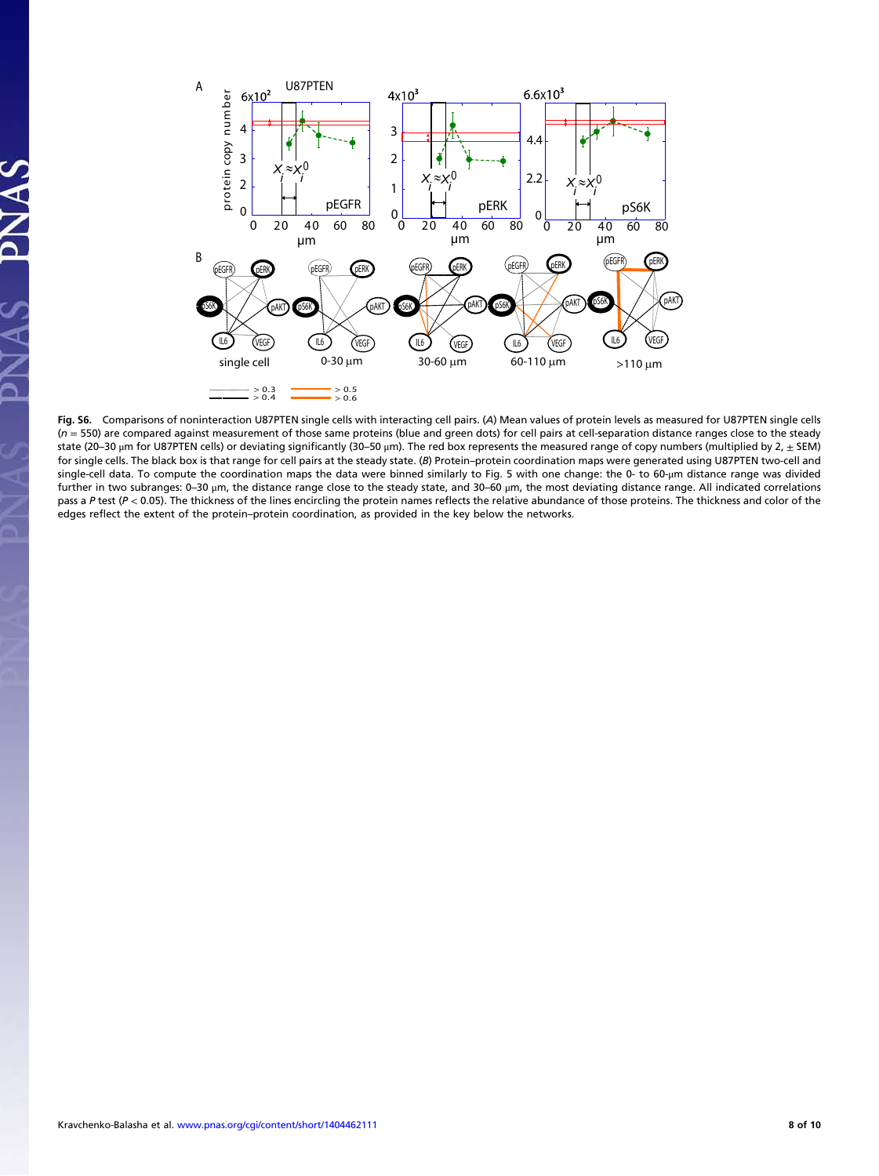

Fig. S6. Comparisons of noninteraction U87PTEN single cells with interacting cell pairs. (A) Mean values of protein levels as measured for U87PTEN single cells  $(n = 550)$  are compared against measurement of those same proteins (blue and green dots) for cell pairs at cell-separation distance ranges close to the steady state (20–30  $\mu$ m for U87PTEN cells) or deviating significantly (30–50  $\mu$ m). The red box represents the measured range of copy numbers (multiplied by 2,  $\pm$  SEM) for single cells. The black box is that range for cell pairs at the steady state. (B) Protein–protein coordination maps were generated using U87PTEN two-cell and single-cell data. To compute the coordination maps the data were binned similarly to Fig. 5 with one change: the 0- to 60-μm distance range was divided further in two subranges: 0–30 μm, the distance range close to the steady state, and 30–60 μm, the most deviating distance range. All indicated correlations pass a P test (P < 0.05). The thickness of the lines encircling the protein names reflects the relative abundance of those proteins. The thickness and color of the edges reflect the extent of the protein–protein coordination, as provided in the key below the networks.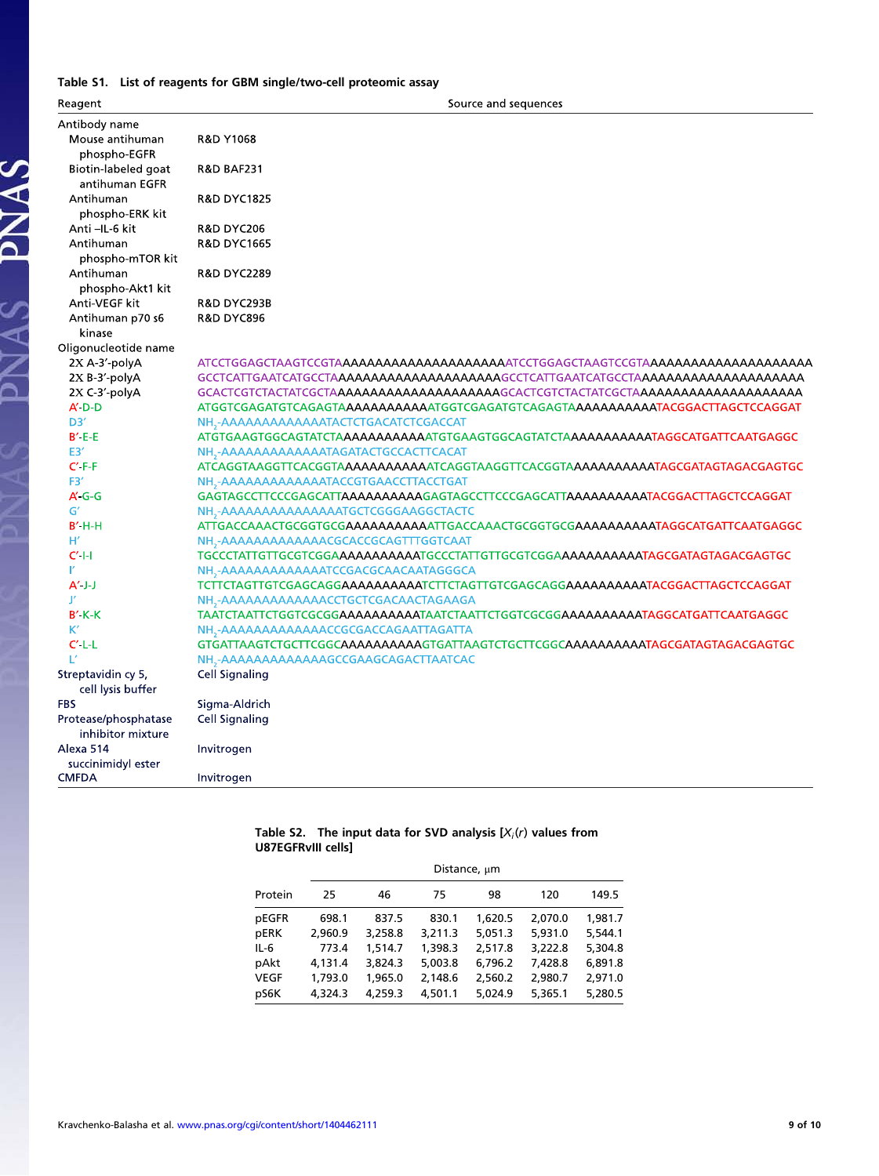### Table S1. List of reagents for GBM single/two-cell proteomic assay

PNAS PNAS

| Reagent                     | Source and sequences                                                                                                                                  |  |  |  |  |  |
|-----------------------------|-------------------------------------------------------------------------------------------------------------------------------------------------------|--|--|--|--|--|
| Antibody name               |                                                                                                                                                       |  |  |  |  |  |
| Mouse antihuman             | R&D Y1068                                                                                                                                             |  |  |  |  |  |
| phospho-EGFR                |                                                                                                                                                       |  |  |  |  |  |
| Biotin-labeled goat         | <b>R&amp;D BAF231</b>                                                                                                                                 |  |  |  |  |  |
| antihuman EGFR              |                                                                                                                                                       |  |  |  |  |  |
| Antihuman                   | R&D DYC1825                                                                                                                                           |  |  |  |  |  |
| phospho-ERK kit             |                                                                                                                                                       |  |  |  |  |  |
| Anti-IL-6 kit               | <b>R&amp;D DYC206</b>                                                                                                                                 |  |  |  |  |  |
| Antihuman                   | <b>R&amp;D DYC1665</b>                                                                                                                                |  |  |  |  |  |
| phospho-mTOR kit            |                                                                                                                                                       |  |  |  |  |  |
| Antihuman                   | R&D DYC2289                                                                                                                                           |  |  |  |  |  |
| phospho-Akt1 kit            |                                                                                                                                                       |  |  |  |  |  |
| Anti-VEGF kit               | <b>R&amp;D DYC293B</b>                                                                                                                                |  |  |  |  |  |
| Antihuman p70 s6            | <b>R&amp;D DYC896</b>                                                                                                                                 |  |  |  |  |  |
| kinase                      |                                                                                                                                                       |  |  |  |  |  |
| Oligonucleotide name        |                                                                                                                                                       |  |  |  |  |  |
| 2X A-3'-polyA               |                                                                                                                                                       |  |  |  |  |  |
| 2X B-3'-polyA               |                                                                                                                                                       |  |  |  |  |  |
| 2X C-3'-polyA               |                                                                                                                                                       |  |  |  |  |  |
| $A' D - D$                  |                                                                                                                                                       |  |  |  |  |  |
| D3'                         | NH - AAAAAAAAAAAAATACTCTGACATCTCGACCAT                                                                                                                |  |  |  |  |  |
| $B' E-E$                    | ATGTGAAGTGGCAGTATCTA <b>AAAAAAAAAATGTG</b> AAGTGGCAGTATCTA <b>AAAAAAAAATAGGCATGATTCAATGAGGC</b>                                                       |  |  |  |  |  |
| E3'                         | NH <sub>2</sub> -AAAAAAAAAAAAATAGATACTGCCACTTCACAT                                                                                                    |  |  |  |  |  |
| $C' F-F$                    |                                                                                                                                                       |  |  |  |  |  |
| F3 <sup>'</sup><br>$A'$ G-G | NH <sub>3</sub> -AAAAAAAAAAAAATACCGTGAACCTTACCTGAT                                                                                                    |  |  |  |  |  |
| G'                          |                                                                                                                                                       |  |  |  |  |  |
| $B' H-H$                    | NH <sub>3</sub> -AAAAAAAAAAAAAAATGCTCGGGAAGGCTACTC<br>ATTGACCAAACTGCGGTGCG <b>AAAAAAAAAATT</b> GACCAAACTGCGGTGCG <b>AAAAAAAAATAGGCATGATTCAATGAGGC</b> |  |  |  |  |  |
| H                           | NH、-AAAAAAAAAAAAACGCACCGCAGTTTGGTCAAT                                                                                                                 |  |  |  |  |  |
| $C'$ I-I                    |                                                                                                                                                       |  |  |  |  |  |
| Ľ                           | NH,-AAAAAAAAAAAAATCCGACGCAACAATAGGGCA                                                                                                                 |  |  |  |  |  |
| $A'$ J-J                    |                                                                                                                                                       |  |  |  |  |  |
| Ľ                           | NH,-AAAAAAAAAAAAACCTGCTCGACAACTAGAAGA                                                                                                                 |  |  |  |  |  |
| $B'$ K-K                    |                                                                                                                                                       |  |  |  |  |  |
| K'                          | NH ,-AAAAAAAAAAAAAACCGCGACCAGAATTAGATTA                                                                                                               |  |  |  |  |  |
| $C'$ L-L                    |                                                                                                                                                       |  |  |  |  |  |
| Ľ                           | NH,-AAAAAAAAAAAAAGCCGAAGCAGACTTAATCAC                                                                                                                 |  |  |  |  |  |
| Streptavidin cy 5,          | Cell Signaling                                                                                                                                        |  |  |  |  |  |
| cell lysis buffer           |                                                                                                                                                       |  |  |  |  |  |
| FBS                         | Sigma-Aldrich                                                                                                                                         |  |  |  |  |  |
| Protease/phosphatase        | Cell Signaling                                                                                                                                        |  |  |  |  |  |
| inhibitor mixture           |                                                                                                                                                       |  |  |  |  |  |
| Alexa 514                   | Invitrogen                                                                                                                                            |  |  |  |  |  |
| succinimidyl ester          |                                                                                                                                                       |  |  |  |  |  |
| <b>CMFDA</b>                | Invitrogen                                                                                                                                            |  |  |  |  |  |
|                             |                                                                                                                                                       |  |  |  |  |  |

#### Table S2. The input data for SVD analysis  $[X_i(r)]$  values from U87EGFRvIII cells]

|         |         | Distance, um |         |         |         |         |  |  |  |
|---------|---------|--------------|---------|---------|---------|---------|--|--|--|
| Protein | 25      | 46           | 75      | 98      | 120     | 149.5   |  |  |  |
| pEGFR   | 698.1   | 837.5        | 830.1   | 1,620.5 | 2,070.0 | 1,981.7 |  |  |  |
| pERK    | 2.960.9 | 3,258.8      | 3,211.3 | 5,051.3 | 5.931.0 | 5.544.1 |  |  |  |
| $IL-6$  | 773.4   | 1.514.7      | 1,398.3 | 2.517.8 | 3.222.8 | 5,304.8 |  |  |  |
| pAkt    | 4.131.4 | 3,824.3      | 5.003.8 | 6,796.2 | 7,428.8 | 6.891.8 |  |  |  |
| VEGF    | 1,793.0 | 1,965.0      | 2,148.6 | 2,560.2 | 2,980.7 | 2,971.0 |  |  |  |
| pS6K    | 4,324.3 | 4.259.3      | 4,501.1 | 5.024.9 | 5.365.1 | 5.280.5 |  |  |  |